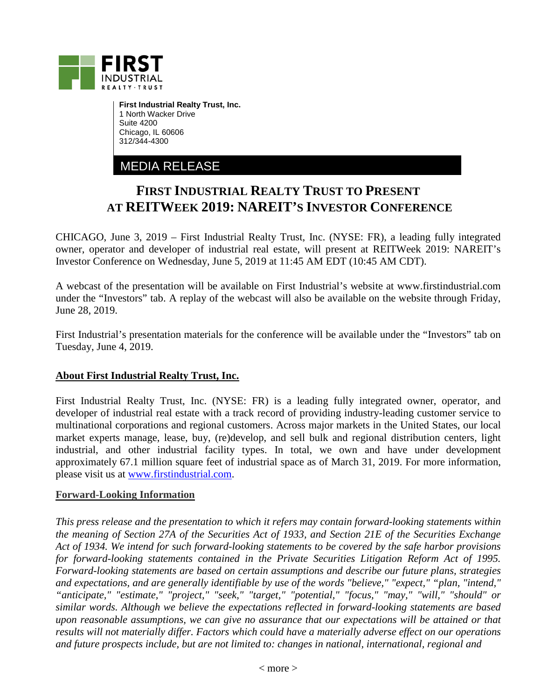

**First Industrial Realty Trust, Inc.** 1 North Wacker Drive Suite 4200 Chicago, IL 60606 312/344-4300

MEDIA RELEASE

## **FIRST INDUSTRIAL REALTY TRUST TO PRESENT AT REITWEEK 2019: NAREIT'S INVESTOR CONFERENCE**

CHICAGO, June 3, 2019 – First Industrial Realty Trust, Inc. (NYSE: FR), a leading fully integrated owner, operator and developer of industrial real estate, will present at REITWeek 2019: NAREIT's Investor Conference on Wednesday, June 5, 2019 at 11:45 AM EDT (10:45 AM CDT).

A webcast of the presentation will be available on First Industrial's website at www.firstindustrial.com under the "Investors" tab. A replay of the webcast will also be available on the website through Friday, June 28, 2019.

First Industrial's presentation materials for the conference will be available under the "Investors" tab on Tuesday, June 4, 2019.

## **About First Industrial Realty Trust, Inc.**

First Industrial Realty Trust, Inc. (NYSE: FR) is a leading fully integrated owner, operator, and developer of industrial real estate with a track record of providing industry-leading customer service to multinational corporations and regional customers. Across major markets in the United States, our local market experts manage, lease, buy, (re)develop, and sell bulk and regional distribution centers, light industrial, and other industrial facility types. In total, we own and have under development approximately 67.1 million square feet of industrial space as of March 31, 2019. For more information, please visit us at [www.firstindustrial.com.](http://www.firstindustrial.com/)

## **Forward-Looking Information**

*This press release and the presentation to which it refers may contain forward-looking statements within the meaning of Section 27A of the Securities Act of 1933, and Section 21E of the Securities Exchange Act of 1934. We intend for such forward-looking statements to be covered by the safe harbor provisions for forward-looking statements contained in the Private Securities Litigation Reform Act of 1995. Forward-looking statements are based on certain assumptions and describe our future plans, strategies and expectations, and are generally identifiable by use of the words "believe," "expect," "plan, "intend," "anticipate," "estimate," "project," "seek," "target," "potential," "focus," "may," "will," "should" or similar words. Although we believe the expectations reflected in forward-looking statements are based upon reasonable assumptions, we can give no assurance that our expectations will be attained or that results will not materially differ. Factors which could have a materially adverse effect on our operations and future prospects include, but are not limited to: changes in national, international, regional and*